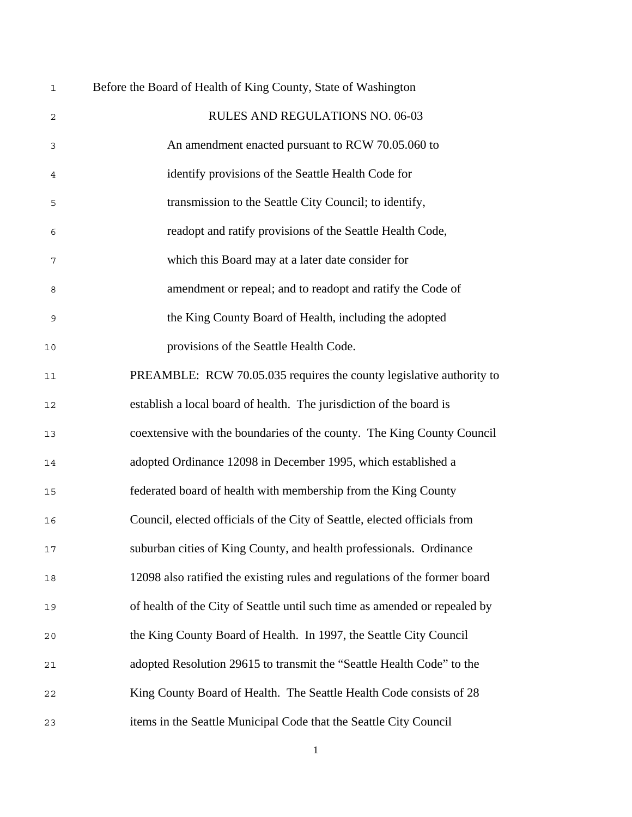| $\mathbf 1$ | Before the Board of Health of King County, State of Washington             |  |  |  |
|-------------|----------------------------------------------------------------------------|--|--|--|
| 2           | RULES AND REGULATIONS NO. 06-03                                            |  |  |  |
| 3           | An amendment enacted pursuant to RCW 70.05.060 to                          |  |  |  |
| 4           | identify provisions of the Seattle Health Code for                         |  |  |  |
| 5           | transmission to the Seattle City Council; to identify,                     |  |  |  |
| 6           | readopt and ratify provisions of the Seattle Health Code,                  |  |  |  |
| 7           | which this Board may at a later date consider for                          |  |  |  |
| 8           | amendment or repeal; and to readopt and ratify the Code of                 |  |  |  |
| 9           | the King County Board of Health, including the adopted                     |  |  |  |
| $10$        | provisions of the Seattle Health Code.                                     |  |  |  |
| 11          | PREAMBLE: RCW 70.05.035 requires the county legislative authority to       |  |  |  |
| 12          | establish a local board of health. The jurisdiction of the board is        |  |  |  |
| 13          | coextensive with the boundaries of the county. The King County Council     |  |  |  |
| 14          | adopted Ordinance 12098 in December 1995, which established a              |  |  |  |
| 15          | federated board of health with membership from the King County             |  |  |  |
| 16          | Council, elected officials of the City of Seattle, elected officials from  |  |  |  |
| 17          | suburban cities of King County, and health professionals. Ordinance        |  |  |  |
| 18          | 12098 also ratified the existing rules and regulations of the former board |  |  |  |
| 19          | of health of the City of Seattle until such time as amended or repealed by |  |  |  |
| 20          | the King County Board of Health. In 1997, the Seattle City Council         |  |  |  |
| 21          | adopted Resolution 29615 to transmit the "Seattle Health Code" to the      |  |  |  |
| 22          | King County Board of Health. The Seattle Health Code consists of 28        |  |  |  |
| 23          | items in the Seattle Municipal Code that the Seattle City Council          |  |  |  |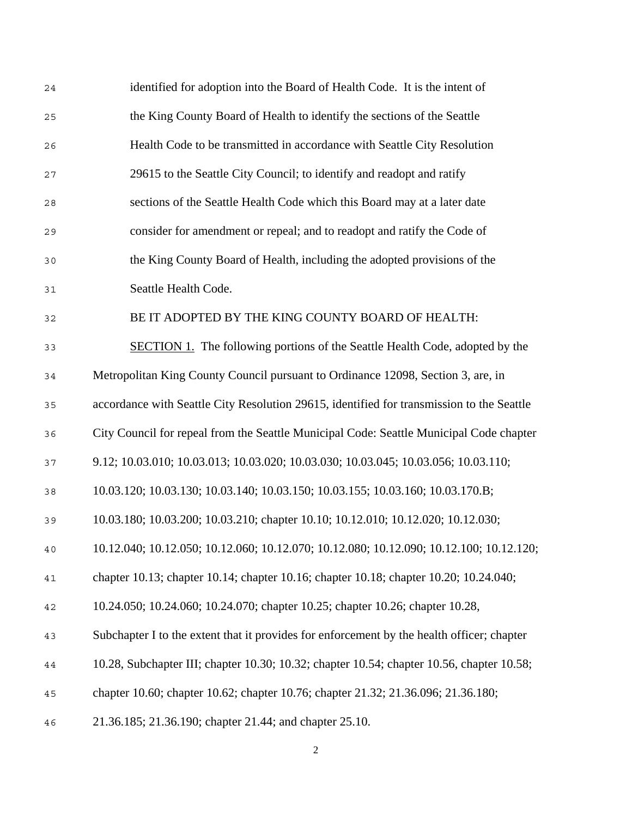| 24 | identified for adoption into the Board of Health Code. It is the intent of                 |
|----|--------------------------------------------------------------------------------------------|
| 25 | the King County Board of Health to identify the sections of the Seattle                    |
| 26 | Health Code to be transmitted in accordance with Seattle City Resolution                   |
| 27 | 29615 to the Seattle City Council; to identify and readopt and ratify                      |
| 28 | sections of the Seattle Health Code which this Board may at a later date                   |
| 29 | consider for amendment or repeal; and to readopt and ratify the Code of                    |
| 30 | the King County Board of Health, including the adopted provisions of the                   |
| 31 | Seattle Health Code.                                                                       |
| 32 | BE IT ADOPTED BY THE KING COUNTY BOARD OF HEALTH:                                          |
| 33 | SECTION 1. The following portions of the Seattle Health Code, adopted by the               |
| 34 | Metropolitan King County Council pursuant to Ordinance 12098, Section 3, are, in           |
| 35 | accordance with Seattle City Resolution 29615, identified for transmission to the Seattle  |
| 36 | City Council for repeal from the Seattle Municipal Code: Seattle Municipal Code chapter    |
| 37 | 9.12; 10.03.010; 10.03.013; 10.03.020; 10.03.030; 10.03.045; 10.03.056; 10.03.110;         |
| 38 | 10.03.120; 10.03.130; 10.03.140; 10.03.150; 10.03.155; 10.03.160; 10.03.170.B;             |
| 39 | 10.03.180; 10.03.200; 10.03.210; chapter 10.10; 10.12.010; 10.12.020; 10.12.030;           |
| 40 | 10.12.040; 10.12.050; 10.12.060; 10.12.070; 10.12.080; 10.12.090; 10.12.100; 10.12.120;    |
| 41 | chapter 10.13; chapter 10.14; chapter 10.16; chapter 10.18; chapter 10.20; 10.24.040;      |
| 42 | 10.24.050; 10.24.060; 10.24.070; chapter 10.25; chapter 10.26; chapter 10.28,              |
| 43 | Subchapter I to the extent that it provides for enforcement by the health officer; chapter |
| 44 | 10.28, Subchapter III; chapter 10.30; 10.32; chapter 10.54; chapter 10.56, chapter 10.58;  |
| 45 | chapter 10.60; chapter 10.62; chapter 10.76; chapter 21.32; 21.36.096; 21.36.180;          |
| 46 | 21.36.185; 21.36.190; chapter 21.44; and chapter 25.10.                                    |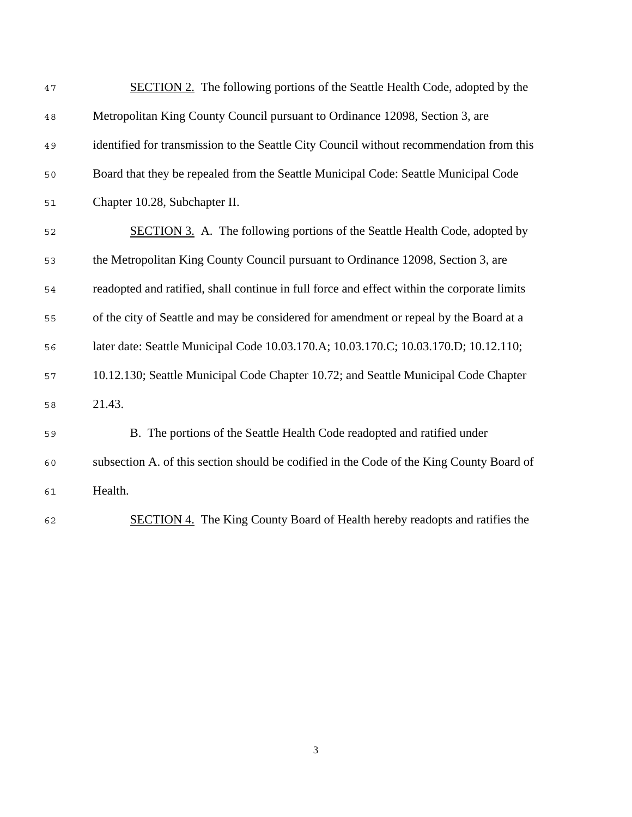| 47 | <b>SECTION 2.</b> The following portions of the Seattle Health Code, adopted by the         |
|----|---------------------------------------------------------------------------------------------|
| 48 | Metropolitan King County Council pursuant to Ordinance 12098, Section 3, are                |
| 49 | identified for transmission to the Seattle City Council without recommendation from this    |
| 50 | Board that they be repealed from the Seattle Municipal Code: Seattle Municipal Code         |
| 51 | Chapter 10.28, Subchapter II.                                                               |
| 52 | <b>SECTION 3.</b> A. The following portions of the Seattle Health Code, adopted by          |
| 53 | the Metropolitan King County Council pursuant to Ordinance 12098, Section 3, are            |
| 54 | readopted and ratified, shall continue in full force and effect within the corporate limits |
| 55 | of the city of Seattle and may be considered for amendment or repeal by the Board at a      |
| 56 | later date: Seattle Municipal Code 10.03.170.A; 10.03.170.C; 10.03.170.D; 10.12.110;        |
| 57 | 10.12.130; Seattle Municipal Code Chapter 10.72; and Seattle Municipal Code Chapter         |
| 58 | 21.43.                                                                                      |
| 59 | B. The portions of the Seattle Health Code readopted and ratified under                     |
| 60 | subsection A. of this section should be codified in the Code of the King County Board of    |
| 61 | Health.                                                                                     |
| 62 | <b>SECTION 4.</b> The King County Board of Health hereby readopts and ratifies the          |